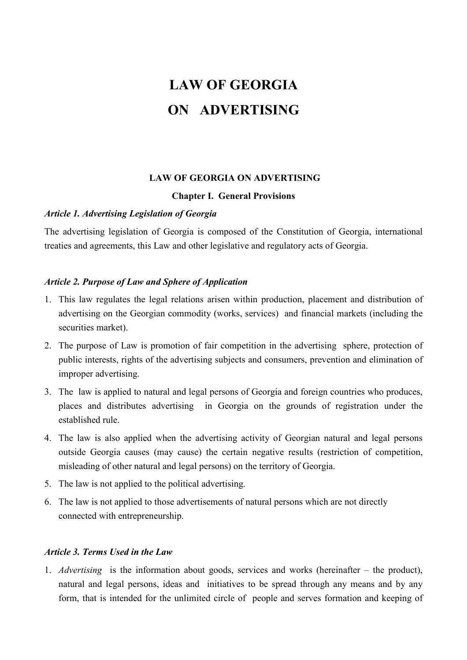# LAW OF GEORGIA ON ADVERTISING

## LAW OF GEORGIA ON ADVERTISING

#### Chapter I. General Provisions

## Article 1. Advertising Legislation of Georgia

The advertising legislation of Georgia is composed of the Constitution of Georgia, international treaties and agreements, this Law and other legislative and regulatory acts of Georgia.

## Article 2. Purpose of Law and Sphere of Application

- 1. This law regulates the legal relations arisen within production, placement and distribution of advertising on the Georgian commodity (works, services) and financial markets (including the securities market).
- 2. The purpose of Law is promotion of fair competition in the advertising sphere, protection of public interests, rights of the advertising subjects and consumers, prevention and elimination of improper advertising.
- 3. The law is applied to natural and legal persons of Georgia and foreign countries who produces, places and distributes advertising in Georgia on the grounds of registration under the established rule.
- 4. The law is also applied when the advertising activity of Georgian natural and legal persons outside Georgia causes (may cause) the certain negative results (restriction of competition, misleading of other natural and legal persons) on the territory of Georgia.
- 5. The law is not applied to the political advertising.
- 6. The law is not applied to those advertisements of natural persons which are not directly connected with entrepreneurship.

#### Article 3. Terms Used in the Law

1. Advertising is the information about goods, services and works (hereinafter – the product), natural and legal persons, ideas and initiatives to be spread through any means and by any form, that is intended for the unlimited circle of people and serves formation and keeping of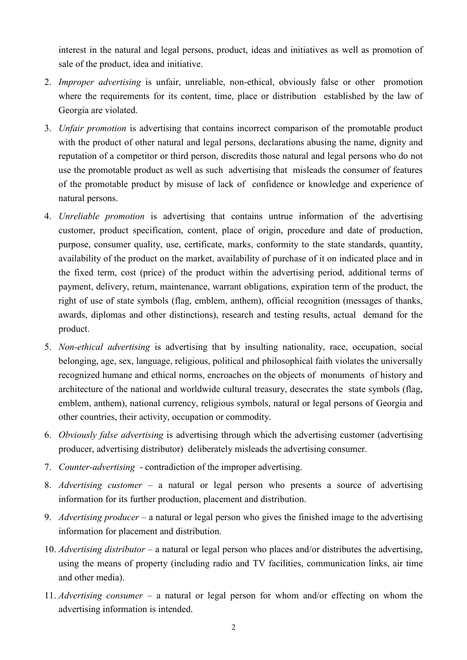interest in the natural and legal persons, product, ideas and initiatives as well as promotion of sale of the product, idea and initiative.

- 2. *Improper advertising* is unfair, unreliable, non-ethical, obviously false or other promotion where the requirements for its content, time, place or distribution established by the law of Georgia are violated.
- 3. *Unfair promotion* is advertising that contains incorrect comparison of the promotable product with the product of other natural and legal persons, declarations abusing the name, dignity and reputation of a competitor or third person, discredits those natural and legal persons who do not use the promotable product as well as such advertising that misleads the consumer of features of the promotable product by misuse of lack of confidence or knowledge and experience of natural persons.
- 4. Unreliable promotion is advertising that contains untrue information of the advertising customer, product specification, content, place of origin, procedure and date of production, purpose, consumer quality, use, certificate, marks, conformity to the state standards, quantity, availability of the product on the market, availability of purchase of it on indicated place and in the fixed term, cost (price) of the product within the advertising period, additional terms of payment, delivery, return, maintenance, warrant obligations, expiration term of the product, the right of use of state symbols (flag, emblem, anthem), official recognition (messages of thanks, awards, diplomas and other distinctions), research and testing results, actual demand for the product.
- 5. Non-ethical advertising is advertising that by insulting nationality, race, occupation, social belonging, age, sex, language, religious, political and philosophical faith violates the universally recognized humane and ethical norms, encroaches on the objects of monuments of history and architecture of the national and worldwide cultural treasury, desecrates the state symbols (flag, emblem, anthem), national currency, religious symbols, natural or legal persons of Georgia and other countries, their activity, occupation or commodity.
- 6. Obviously false advertising is advertising through which the advertising customer (advertising producer, advertising distributor) deliberately misleads the advertising consumer.
- 7. Counter-advertising contradiction of the improper advertising.
- 8. Advertising customer a natural or legal person who presents a source of advertising information for its further production, placement and distribution.
- 9. Advertising producer a natural or legal person who gives the finished image to the advertising information for placement and distribution.
- 10. Advertising distributor a natural or legal person who places and/or distributes the advertising, using the means of property (including radio and TV facilities, communication links, air time and other media).
- 11. Advertising consumer a natural or legal person for whom and/or effecting on whom the advertising information is intended.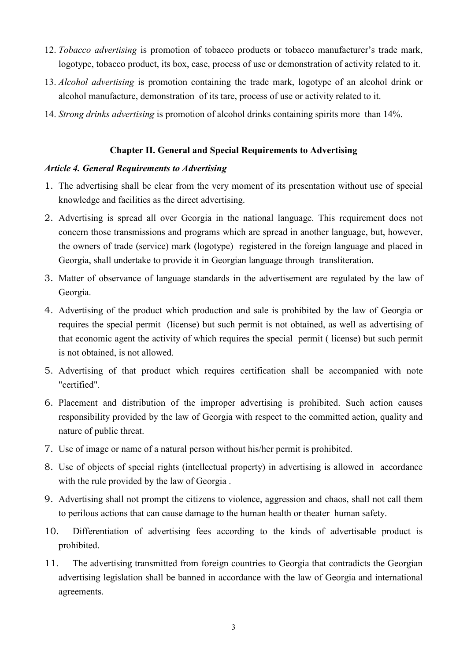- 12. Tobacco advertising is promotion of tobacco products or tobacco manufacturer's trade mark, logotype, tobacco product, its box, case, process of use or demonstration of activity related to it.
- 13. Alcohol advertising is promotion containing the trade mark, logotype of an alcohol drink or alcohol manufacture, demonstration of its tare, process of use or activity related to it.
- 14. Strong drinks advertising is promotion of alcohol drinks containing spirits more than 14%.

#### Chapter II. General and Special Requirements to Advertising

#### Article 4. General Requirements to Advertising

- 1. The advertising shall be clear from the very moment of its presentation without use of special knowledge and facilities as the direct advertising.
- 2. Advertising is spread all over Georgia in the national language. This requirement does not concern those transmissions and programs which are spread in another language, but, however, the owners of trade (service) mark (logotype) registered in the foreign language and placed in Georgia, shall undertake to provide it in Georgian language through transliteration.
- 3. Matter of observance of language standards in the advertisement are regulated by the law of Georgia.
- 4. Advertising of the product which production and sale is prohibited by the law of Georgia or requires the special permit (license) but such permit is not obtained, as well as advertising of that economic agent the activity of which requires the special permit ( license) but such permit is not obtained, is not allowed.
- 5. Advertising of that product which requires certification shall be accompanied with note "certified".
- 6. Placement and distribution of the improper advertising is prohibited. Such action causes responsibility provided by the law of Georgia with respect to the committed action, quality and nature of public threat.
- 7. Use of image or name of a natural person without his/her permit is prohibited.
- 8. Use of objects of special rights (intellectual property) in advertising is allowed in accordance with the rule provided by the law of Georgia .
- 9. Advertising shall not prompt the citizens to violence, aggression and chaos, shall not call them to perilous actions that can cause damage to the human health or theater human safety.
- 10. Differentiation of advertising fees according to the kinds of advertisable product is prohibited.
- 11. The advertising transmitted from foreign countries to Georgia that contradicts the Georgian advertising legislation shall be banned in accordance with the law of Georgia and international agreements.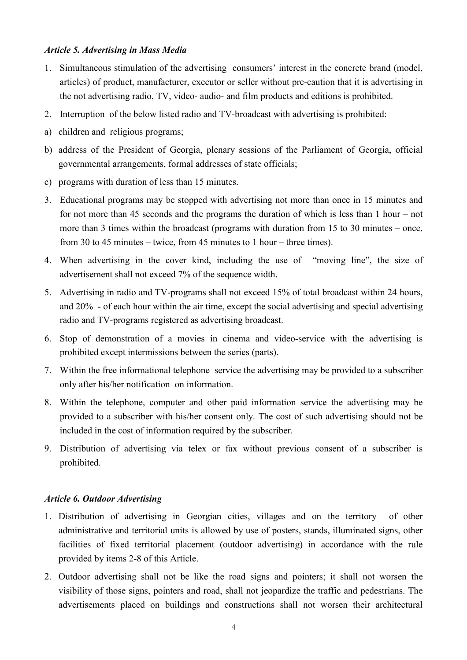#### Article 5. Advertising in Mass Media

- 1. Simultaneous stimulation of the advertising consumers' interest in the concrete brand (model, articles) of product, manufacturer, executor or seller without pre-caution that it is advertising in the not advertising radio, TV, video- audio- and film products and editions is prohibited.
- 2. Interruption of the below listed radio and TV-broadcast with advertising is prohibited:
- a) children and religious programs;
- b) address of the President of Georgia, plenary sessions of the Parliament of Georgia, official governmental arrangements, formal addresses of state officials;
- c) programs with duration of less than 15 minutes.
- 3. Educational programs may be stopped with advertising not more than once in 15 minutes and for not more than 45 seconds and the programs the duration of which is less than 1 hour – not more than 3 times within the broadcast (programs with duration from 15 to 30 minutes – once, from 30 to 45 minutes – twice, from 45 minutes to 1 hour – three times).
- 4. When advertising in the cover kind, including the use of "moving line", the size of advertisement shall not exceed 7% of the sequence width.
- 5. Advertising in radio and TV-programs shall not exceed 15% of total broadcast within 24 hours, and 20% - of each hour within the air time, except the social advertising and special advertising radio and TV-programs registered as advertising broadcast.
- 6. Stop of demonstration of a movies in cinema and video-service with the advertising is prohibited except intermissions between the series (parts).
- 7. Within the free informational telephone service the advertising may be provided to a subscriber only after his/her notification on information.
- 8. Within the telephone, computer and other paid information service the advertising may be provided to a subscriber with his/her consent only. The cost of such advertising should not be included in the cost of information required by the subscriber.
- 9. Distribution of advertising via telex or fax without previous consent of a subscriber is prohibited.

#### Article 6. Outdoor Advertising

- 1. Distribution of advertising in Georgian cities, villages and on the territory of other administrative and territorial units is allowed by use of posters, stands, illuminated signs, other facilities of fixed territorial placement (outdoor advertising) in accordance with the rule provided by items 2-8 of this Article.
- 2. Outdoor advertising shall not be like the road signs and pointers; it shall not worsen the visibility of those signs, pointers and road, shall not jeopardize the traffic and pedestrians. The advertisements placed on buildings and constructions shall not worsen their architectural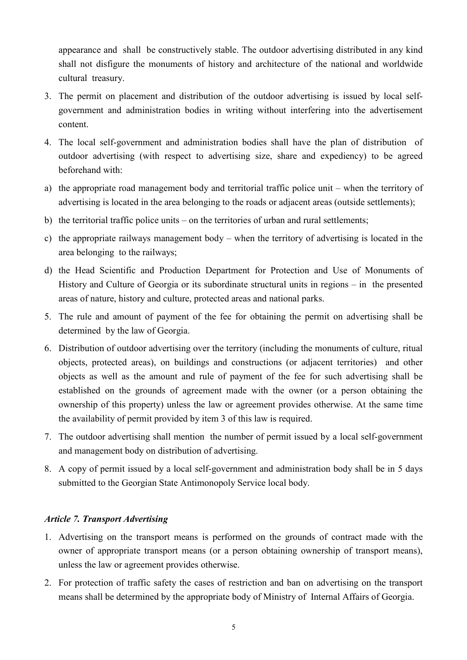appearance and shall be constructively stable. The outdoor advertising distributed in any kind shall not disfigure the monuments of history and architecture of the national and worldwide cultural treasury.

- 3. The permit on placement and distribution of the outdoor advertising is issued by local selfgovernment and administration bodies in writing without interfering into the advertisement content.
- 4. The local self-government and administration bodies shall have the plan of distribution of outdoor advertising (with respect to advertising size, share and expediency) to be agreed beforehand with:
- a) the appropriate road management body and territorial traffic police unit when the territory of advertising is located in the area belonging to the roads or adjacent areas (outside settlements);
- b) the territorial traffic police units on the territories of urban and rural settlements;
- c) the appropriate railways management body when the territory of advertising is located in the area belonging to the railways;
- d) the Head Scientific and Production Department for Protection and Use of Monuments of History and Culture of Georgia or its subordinate structural units in regions – in the presented areas of nature, history and culture, protected areas and national parks.
- 5. The rule and amount of payment of the fee for obtaining the permit on advertising shall be determined by the law of Georgia.
- 6. Distribution of outdoor advertising over the territory (including the monuments of culture, ritual objects, protected areas), on buildings and constructions (or adjacent territories) and other objects as well as the amount and rule of payment of the fee for such advertising shall be established on the grounds of agreement made with the owner (or a person obtaining the ownership of this property) unless the law or agreement provides otherwise. At the same time the availability of permit provided by item 3 of this law is required.
- 7. The outdoor advertising shall mention the number of permit issued by a local self-government and management body on distribution of advertising.
- 8. A copy of permit issued by a local self-government and administration body shall be in 5 days submitted to the Georgian State Antimonopoly Service local body.

# Article 7. Transport Advertising

- 1. Advertising on the transport means is performed on the grounds of contract made with the owner of appropriate transport means (or a person obtaining ownership of transport means), unless the law or agreement provides otherwise.
- 2. For protection of traffic safety the cases of restriction and ban on advertising on the transport means shall be determined by the appropriate body of Ministry of Internal Affairs of Georgia.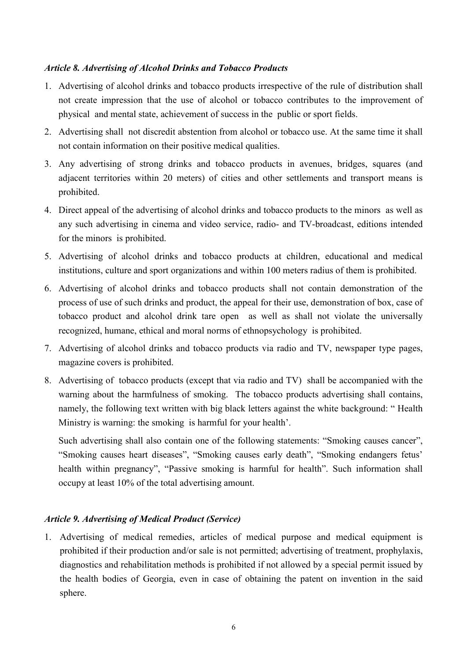## Article 8. Advertising of Alcohol Drinks and Tobacco Products

- 1. Advertising of alcohol drinks and tobacco products irrespective of the rule of distribution shall not create impression that the use of alcohol or tobacco contributes to the improvement of physical and mental state, achievement of success in the public or sport fields.
- 2. Advertising shall not discredit abstention from alcohol or tobacco use. At the same time it shall not contain information on their positive medical qualities.
- 3. Any advertising of strong drinks and tobacco products in avenues, bridges, squares (and adjacent territories within 20 meters) of cities and other settlements and transport means is prohibited.
- 4. Direct appeal of the advertising of alcohol drinks and tobacco products to the minors as well as any such advertising in cinema and video service, radio- and TV-broadcast, editions intended for the minors is prohibited.
- 5. Advertising of alcohol drinks and tobacco products at children, educational and medical institutions, culture and sport organizations and within 100 meters radius of them is prohibited.
- 6. Advertising of alcohol drinks and tobacco products shall not contain demonstration of the process of use of such drinks and product, the appeal for their use, demonstration of box, case of tobacco product and alcohol drink tare open as well as shall not violate the universally recognized, humane, ethical and moral norms of ethnopsychology is prohibited.
- 7. Advertising of alcohol drinks and tobacco products via radio and TV, newspaper type pages, magazine covers is prohibited.
- 8. Advertising of tobacco products (except that via radio and TV) shall be accompanied with the warning about the harmfulness of smoking. The tobacco products advertising shall contains, namely, the following text written with big black letters against the white background: " Health Ministry is warning: the smoking is harmful for your health'.

Such advertising shall also contain one of the following statements: "Smoking causes cancer", "Smoking causes heart diseases", "Smoking causes early death", "Smoking endangers fetus' health within pregnancy", "Passive smoking is harmful for health". Such information shall occupy at least 10% of the total advertising amount.

## Article 9. Advertising of Medical Product (Service)

1. Advertising of medical remedies, articles of medical purpose and medical equipment is prohibited if their production and/or sale is not permitted; advertising of treatment, prophylaxis, diagnostics and rehabilitation methods is prohibited if not allowed by a special permit issued by the health bodies of Georgia, even in case of obtaining the patent on invention in the said sphere.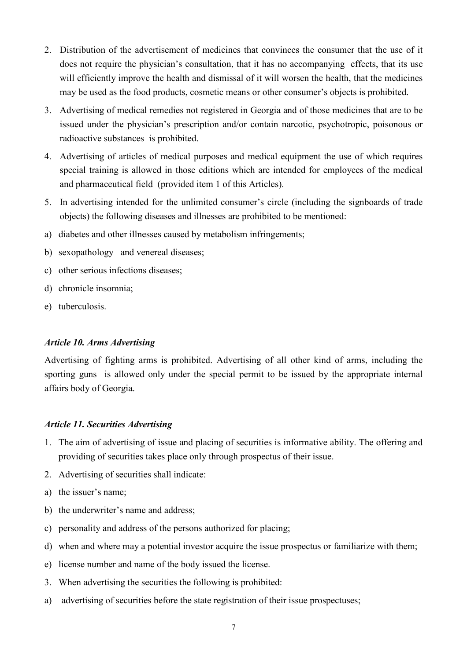- 2. Distribution of the advertisement of medicines that convinces the consumer that the use of it does not require the physician's consultation, that it has no accompanying effects, that its use will efficiently improve the health and dismissal of it will worsen the health, that the medicines may be used as the food products, cosmetic means or other consumer's objects is prohibited.
- 3. Advertising of medical remedies not registered in Georgia and of those medicines that are to be issued under the physician's prescription and/or contain narcotic, psychotropic, poisonous or radioactive substances is prohibited.
- 4. Advertising of articles of medical purposes and medical equipment the use of which requires special training is allowed in those editions which are intended for employees of the medical and pharmaceutical field (provided item 1 of this Articles).
- 5. In advertising intended for the unlimited consumer's circle (including the signboards of trade objects) the following diseases and illnesses are prohibited to be mentioned:
- a) diabetes and other illnesses caused by metabolism infringements;
- b) sexopathology and venereal diseases;
- c) other serious infections diseases;
- d) chronicle insomnia;
- e) tuberculosis.

## Article 10. Arms Advertising

Advertising of fighting arms is prohibited. Advertising of all other kind of arms, including the sporting guns is allowed only under the special permit to be issued by the appropriate internal affairs body of Georgia.

# Article 11. Securities Advertising

- 1. The aim of advertising of issue and placing of securities is informative ability. The offering and providing of securities takes place only through prospectus of their issue.
- 2. Advertising of securities shall indicate:
- a) the issuer's name;
- b) the underwriter's name and address;
- c) personality and address of the persons authorized for placing;
- d) when and where may a potential investor acquire the issue prospectus or familiarize with them;
- e) license number and name of the body issued the license.
- 3. When advertising the securities the following is prohibited:
- a) advertising of securities before the state registration of their issue prospectuses;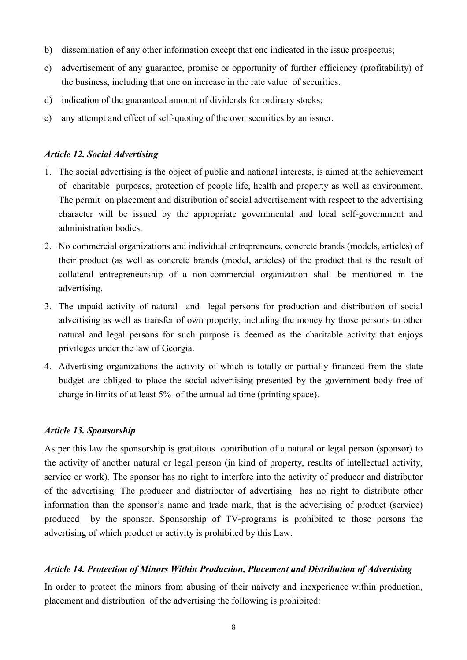- b) dissemination of any other information except that one indicated in the issue prospectus;
- c) advertisement of any guarantee, promise or opportunity of further efficiency (profitability) of the business, including that one on increase in the rate value of securities.
- d) indication of the guaranteed amount of dividends for ordinary stocks;
- e) any attempt and effect of self-quoting of the own securities by an issuer.

## Article 12. Social Advertising

- 1. The social advertising is the object of public and national interests, is aimed at the achievement of charitable purposes, protection of people life, health and property as well as environment. The permit on placement and distribution of social advertisement with respect to the advertising character will be issued by the appropriate governmental and local self-government and administration bodies.
- 2. No commercial organizations and individual entrepreneurs, concrete brands (models, articles) of their product (as well as concrete brands (model, articles) of the product that is the result of collateral entrepreneurship of a non-commercial organization shall be mentioned in the advertising.
- 3. The unpaid activity of natural and legal persons for production and distribution of social advertising as well as transfer of own property, including the money by those persons to other natural and legal persons for such purpose is deemed as the charitable activity that enjoys privileges under the law of Georgia.
- 4. Advertising organizations the activity of which is totally or partially financed from the state budget are obliged to place the social advertising presented by the government body free of charge in limits of at least 5% of the annual ad time (printing space).

# Article 13. Sponsorship

As per this law the sponsorship is gratuitous contribution of a natural or legal person (sponsor) to the activity of another natural or legal person (in kind of property, results of intellectual activity, service or work). The sponsor has no right to interfere into the activity of producer and distributor of the advertising. The producer and distributor of advertising has no right to distribute other information than the sponsor's name and trade mark, that is the advertising of product (service) produced by the sponsor. Sponsorship of TV-programs is prohibited to those persons the advertising of which product or activity is prohibited by this Law.

## Article 14. Protection of Minors Within Production, Placement and Distribution of Advertising

In order to protect the minors from abusing of their naivety and inexperience within production, placement and distribution of the advertising the following is prohibited: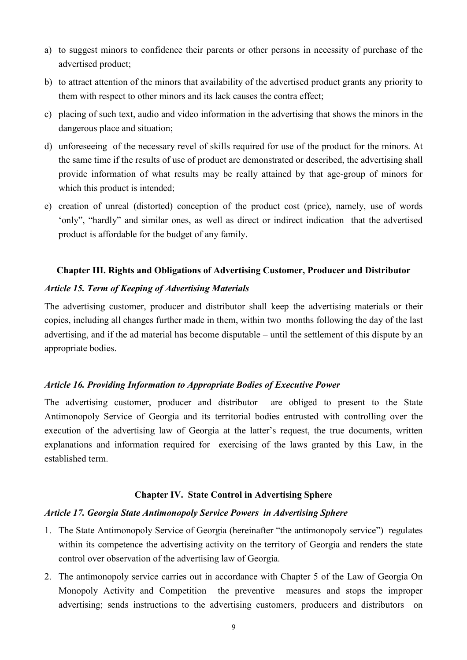- a) to suggest minors to confidence their parents or other persons in necessity of purchase of the advertised product;
- b) to attract attention of the minors that availability of the advertised product grants any priority to them with respect to other minors and its lack causes the contra effect;
- c) placing of such text, audio and video information in the advertising that shows the minors in the dangerous place and situation;
- d) unforeseeing of the necessary revel of skills required for use of the product for the minors. At the same time if the results of use of product are demonstrated or described, the advertising shall provide information of what results may be really attained by that age-group of minors for which this product is intended;
- e) creation of unreal (distorted) conception of the product cost (price), namely, use of words 'only", "hardly" and similar ones, as well as direct or indirect indication that the advertised product is affordable for the budget of any family.

## Chapter III. Rights and Obligations of Advertising Customer, Producer and Distributor

## Article 15. Term of Keeping of Advertising Materials

The advertising customer, producer and distributor shall keep the advertising materials or their copies, including all changes further made in them, within two months following the day of the last advertising, and if the ad material has become disputable – until the settlement of this dispute by an appropriate bodies.

## Article 16. Providing Information to Appropriate Bodies of Executive Power

The advertising customer, producer and distributor are obliged to present to the State Antimonopoly Service of Georgia and its territorial bodies entrusted with controlling over the execution of the advertising law of Georgia at the latter's request, the true documents, written explanations and information required for exercising of the laws granted by this Law, in the established term.

## Chapter IV. State Control in Advertising Sphere

## Article 17. Georgia State Antimonopoly Service Powers in Advertising Sphere

- 1. The State Antimonopoly Service of Georgia (hereinafter "the antimonopoly service") regulates within its competence the advertising activity on the territory of Georgia and renders the state control over observation of the advertising law of Georgia.
- 2. The antimonopoly service carries out in accordance with Chapter 5 of the Law of Georgia On Monopoly Activity and Competition the preventive measures and stops the improper advertising; sends instructions to the advertising customers, producers and distributors on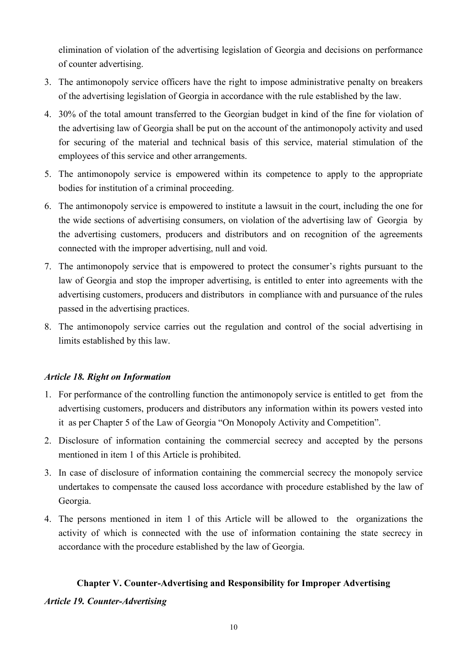elimination of violation of the advertising legislation of Georgia and decisions on performance of counter advertising.

- 3. The antimonopoly service officers have the right to impose administrative penalty on breakers of the advertising legislation of Georgia in accordance with the rule established by the law.
- 4. 30% of the total amount transferred to the Georgian budget in kind of the fine for violation of the advertising law of Georgia shall be put on the account of the antimonopoly activity and used for securing of the material and technical basis of this service, material stimulation of the employees of this service and other arrangements.
- 5. The antimonopoly service is empowered within its competence to apply to the appropriate bodies for institution of a criminal proceeding.
- 6. The antimonopoly service is empowered to institute a lawsuit in the court, including the one for the wide sections of advertising consumers, on violation of the advertising law of Georgia by the advertising customers, producers and distributors and on recognition of the agreements connected with the improper advertising, null and void.
- 7. The antimonopoly service that is empowered to protect the consumer's rights pursuant to the law of Georgia and stop the improper advertising, is entitled to enter into agreements with the advertising customers, producers and distributors in compliance with and pursuance of the rules passed in the advertising practices.
- 8. The antimonopoly service carries out the regulation and control of the social advertising in limits established by this law.

# Article 18. Right on Information

- 1. For performance of the controlling function the antimonopoly service is entitled to get from the advertising customers, producers and distributors any information within its powers vested into it as per Chapter 5 of the Law of Georgia "On Monopoly Activity and Competition".
- 2. Disclosure of information containing the commercial secrecy and accepted by the persons mentioned in item 1 of this Article is prohibited.
- 3. In case of disclosure of information containing the commercial secrecy the monopoly service undertakes to compensate the caused loss accordance with procedure established by the law of Georgia.
- 4. The persons mentioned in item 1 of this Article will be allowed to the organizations the activity of which is connected with the use of information containing the state secrecy in accordance with the procedure established by the law of Georgia.

## Chapter V. Counter-Advertising and Responsibility for Improper Advertising

## Article 19. Counter-Advertising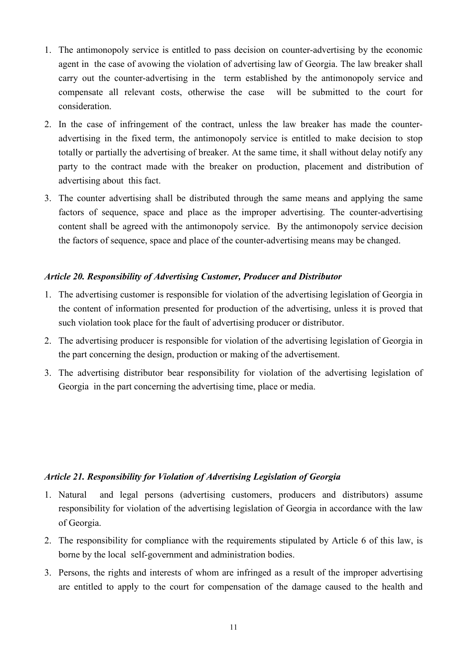- 1. The antimonopoly service is entitled to pass decision on counter-advertising by the economic agent in the case of avowing the violation of advertising law of Georgia. The law breaker shall carry out the counter-advertising in the term established by the antimonopoly service and compensate all relevant costs, otherwise the case will be submitted to the court for consideration.
- 2. In the case of infringement of the contract, unless the law breaker has made the counteradvertising in the fixed term, the antimonopoly service is entitled to make decision to stop totally or partially the advertising of breaker. At the same time, it shall without delay notify any party to the contract made with the breaker on production, placement and distribution of advertising about this fact.
- 3. The counter advertising shall be distributed through the same means and applying the same factors of sequence, space and place as the improper advertising. The counter-advertising content shall be agreed with the antimonopoly service. By the antimonopoly service decision the factors of sequence, space and place of the counter-advertising means may be changed.

## Article 20. Responsibility of Advertising Customer, Producer and Distributor

- 1. The advertising customer is responsible for violation of the advertising legislation of Georgia in the content of information presented for production of the advertising, unless it is proved that such violation took place for the fault of advertising producer or distributor.
- 2. The advertising producer is responsible for violation of the advertising legislation of Georgia in the part concerning the design, production or making of the advertisement.
- 3. The advertising distributor bear responsibility for violation of the advertising legislation of Georgia in the part concerning the advertising time, place or media.

## Article 21. Responsibility for Violation of Advertising Legislation of Georgia

- 1. Natural and legal persons (advertising customers, producers and distributors) assume responsibility for violation of the advertising legislation of Georgia in accordance with the law of Georgia.
- 2. The responsibility for compliance with the requirements stipulated by Article 6 of this law, is borne by the local self-government and administration bodies.
- 3. Persons, the rights and interests of whom are infringed as a result of the improper advertising are entitled to apply to the court for compensation of the damage caused to the health and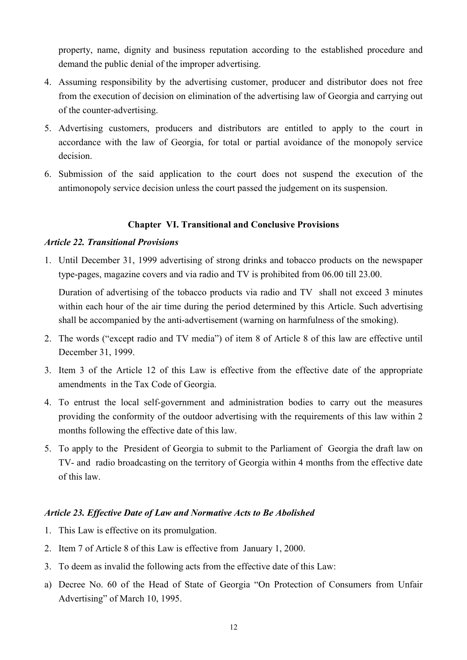property, name, dignity and business reputation according to the established procedure and demand the public denial of the improper advertising.

- 4. Assuming responsibility by the advertising customer, producer and distributor does not free from the execution of decision on elimination of the advertising law of Georgia and carrying out of the counter-advertising.
- 5. Advertising customers, producers and distributors are entitled to apply to the court in accordance with the law of Georgia, for total or partial avoidance of the monopoly service decision.
- 6. Submission of the said application to the court does not suspend the execution of the antimonopoly service decision unless the court passed the judgement on its suspension.

# Chapter VI. Transitional and Conclusive Provisions

## Article 22. Transitional Provisions

1. Until December 31, 1999 advertising of strong drinks and tobacco products on the newspaper type-pages, magazine covers and via radio and TV is prohibited from 06.00 till 23.00.

Duration of advertising of the tobacco products via radio and TV shall not exceed 3 minutes within each hour of the air time during the period determined by this Article. Such advertising shall be accompanied by the anti-advertisement (warning on harmfulness of the smoking).

- 2. The words ("except radio and TV media") of item 8 of Article 8 of this law are effective until December 31, 1999.
- 3. Item 3 of the Article 12 of this Law is effective from the effective date of the appropriate amendments in the Tax Code of Georgia.
- 4. To entrust the local self-government and administration bodies to carry out the measures providing the conformity of the outdoor advertising with the requirements of this law within 2 months following the effective date of this law.
- 5. To apply to the President of Georgia to submit to the Parliament of Georgia the draft law on TV- and radio broadcasting on the territory of Georgia within 4 months from the effective date of this law.

# Article 23. Effective Date of Law and Normative Acts to Be Abolished

- 1. This Law is effective on its promulgation.
- 2. Item 7 of Article 8 of this Law is effective from January 1, 2000.
- 3. To deem as invalid the following acts from the effective date of this Law:
- a) Decree No. 60 of the Head of State of Georgia "On Protection of Consumers from Unfair Advertising" of March 10, 1995.